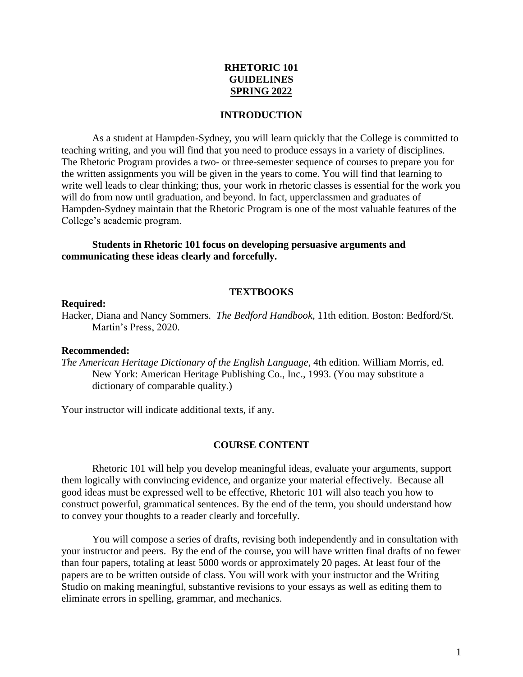# **RHETORIC 101 GUIDELINES SPRING 2022**

#### **INTRODUCTION**

As a student at Hampden-Sydney, you will learn quickly that the College is committed to teaching writing, and you will find that you need to produce essays in a variety of disciplines. The Rhetoric Program provides a two- or three-semester sequence of courses to prepare you for the written assignments you will be given in the years to come. You will find that learning to write well leads to clear thinking; thus, your work in rhetoric classes is essential for the work you will do from now until graduation, and beyond. In fact, upperclassmen and graduates of Hampden-Sydney maintain that the Rhetoric Program is one of the most valuable features of the College's academic program.

## **Students in Rhetoric 101 focus on developing persuasive arguments and communicating these ideas clearly and forcefully.**

#### **TEXTBOOKS**

#### **Required:**

Hacker, Diana and Nancy Sommers. *The Bedford Handbook*, 11th edition. Boston: Bedford/St. Martin's Press, 2020.

#### **Recommended:**

*The American Heritage Dictionary of the English Language*, 4th edition. William Morris, ed. New York: American Heritage Publishing Co., Inc., 1993. (You may substitute a dictionary of comparable quality.)

Your instructor will indicate additional texts, if any.

#### **COURSE CONTENT**

Rhetoric 101 will help you develop meaningful ideas, evaluate your arguments, support them logically with convincing evidence, and organize your material effectively. Because all good ideas must be expressed well to be effective, Rhetoric 101 will also teach you how to construct powerful, grammatical sentences. By the end of the term, you should understand how to convey your thoughts to a reader clearly and forcefully.

You will compose a series of drafts, revising both independently and in consultation with your instructor and peers. By the end of the course, you will have written final drafts of no fewer than four papers, totaling at least 5000 words or approximately 20 pages. At least four of the papers are to be written outside of class. You will work with your instructor and the Writing Studio on making meaningful, substantive revisions to your essays as well as editing them to eliminate errors in spelling, grammar, and mechanics.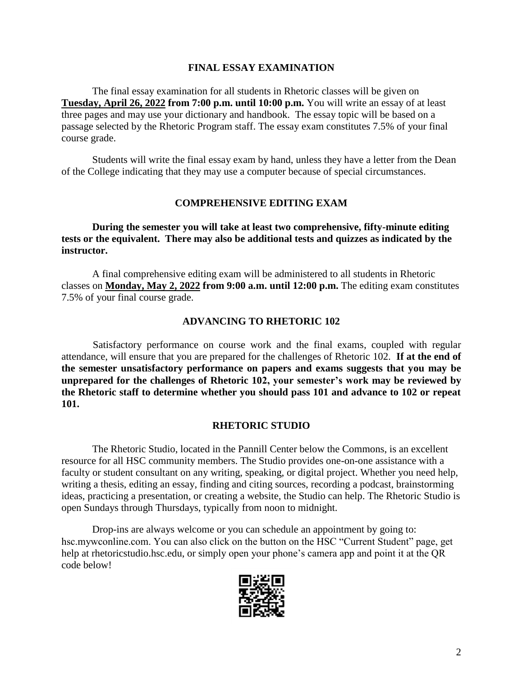# **FINAL ESSAY EXAMINATION**

 The final essay examination for all students in Rhetoric classes will be given on **Tuesday, April 26, 2022 from 7:00 p.m. until 10:00 p.m.** You will write an essay of at least three pages and may use your dictionary and handbook. The essay topic will be based on a passage selected by the Rhetoric Program staff. The essay exam constitutes 7.5% of your final course grade.

Students will write the final essay exam by hand, unless they have a letter from the Dean of the College indicating that they may use a computer because of special circumstances.

## **COMPREHENSIVE EDITING EXAM**

 **During the semester you will take at least two comprehensive, fifty-minute editing tests or the equivalent. There may also be additional tests and quizzes as indicated by the instructor.**

 A final comprehensive editing exam will be administered to all students in Rhetoric classes on **Monday, May 2, 2022 from 9:00 a.m. until 12:00 p.m.** The editing exam constitutes 7.5% of your final course grade.

## **ADVANCING TO RHETORIC 102**

Satisfactory performance on course work and the final exams, coupled with regular attendance, will ensure that you are prepared for the challenges of Rhetoric 102. **If at the end of the semester unsatisfactory performance on papers and exams suggests that you may be unprepared for the challenges of Rhetoric 102, your semester's work may be reviewed by the Rhetoric staff to determine whether you should pass 101 and advance to 102 or repeat 101.**

## **RHETORIC STUDIO**

The Rhetoric Studio, located in the Pannill Center below the Commons, is an excellent resource for all HSC community members. The Studio provides one-on-one assistance with a faculty or student consultant on any writing, speaking, or digital project. Whether you need help, writing a thesis, editing an essay, finding and citing sources, recording a podcast, brainstorming ideas, practicing a presentation, or creating a website, the Studio can help. The Rhetoric Studio is open Sundays through Thursdays, typically from noon to midnight.

Drop-ins are always welcome or you can schedule an appointment by going to: hsc.mywconline.com. You can also click on the button on the HSC "Current Student" page, get help at rhetoricstudio.hsc.edu, or simply open your phone's camera app and point it at the QR code below!

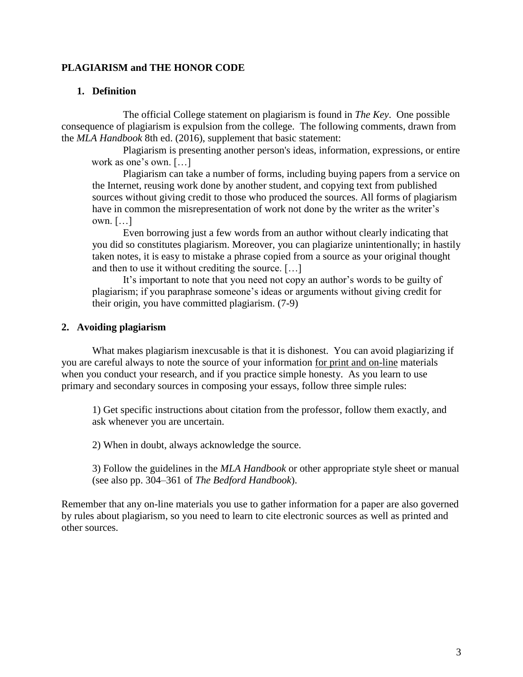# **PLAGIARISM and THE HONOR CODE**

## **1. Definition**

 The official College statement on plagiarism is found in *The Key*. One possible consequence of plagiarism is expulsion from the college. The following comments, drawn from the *MLA Handbook* 8th ed. (2016), supplement that basic statement:

Plagiarism is presenting another person's ideas, information, expressions, or entire work as one's own. […]

Plagiarism can take a number of forms, including buying papers from a service on the Internet, reusing work done by another student, and copying text from published sources without giving credit to those who produced the sources. All forms of plagiarism have in common the misrepresentation of work not done by the writer as the writer's own. […]

Even borrowing just a few words from an author without clearly indicating that you did so constitutes plagiarism. Moreover, you can plagiarize unintentionally; in hastily taken notes, it is easy to mistake a phrase copied from a source as your original thought and then to use it without crediting the source. […]

It's important to note that you need not copy an author's words to be guilty of plagiarism; if you paraphrase someone's ideas or arguments without giving credit for their origin, you have committed plagiarism. (7-9)

## **2. Avoiding plagiarism**

What makes plagiarism inexcusable is that it is dishonest. You can avoid plagiarizing if you are careful always to note the source of your information for print and on-line materials when you conduct your research, and if you practice simple honesty. As you learn to use primary and secondary sources in composing your essays, follow three simple rules:

1) Get specific instructions about citation from the professor, follow them exactly, and ask whenever you are uncertain.

2) When in doubt, always acknowledge the source.

3) Follow the guidelines in the *MLA Handbook* or other appropriate style sheet or manual (see also pp. 304–361 of *The Bedford Handbook*).

Remember that any on-line materials you use to gather information for a paper are also governed by rules about plagiarism, so you need to learn to cite electronic sources as well as printed and other sources.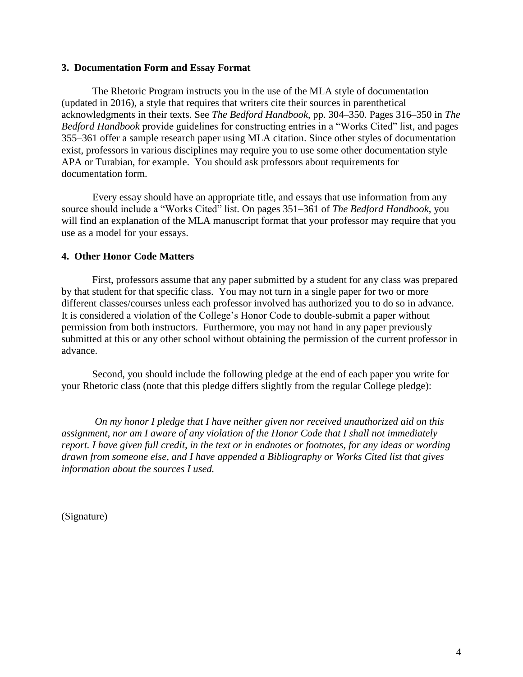## **3. Documentation Form and Essay Format**

 The Rhetoric Program instructs you in the use of the MLA style of documentation (updated in 2016), a style that requires that writers cite their sources in parenthetical acknowledgments in their texts. See *The Bedford Handbook*, pp. 304–350. Pages 316–350 in *The Bedford Handbook* provide guidelines for constructing entries in a "Works Cited" list, and pages 355–361 offer a sample research paper using MLA citation. Since other styles of documentation exist, professors in various disciplines may require you to use some other documentation style— APA or Turabian, for example. You should ask professors about requirements for documentation form.

Every essay should have an appropriate title, and essays that use information from any source should include a "Works Cited" list. On pages 351–361 of *The Bedford Handbook*, you will find an explanation of the MLA manuscript format that your professor may require that you use as a model for your essays.

## **4. Other Honor Code Matters**

First, professors assume that any paper submitted by a student for any class was prepared by that student for that specific class. You may not turn in a single paper for two or more different classes/courses unless each professor involved has authorized you to do so in advance. It is considered a violation of the College's Honor Code to double-submit a paper without permission from both instructors. Furthermore, you may not hand in any paper previously submitted at this or any other school without obtaining the permission of the current professor in advance.

Second, you should include the following pledge at the end of each paper you write for your Rhetoric class (note that this pledge differs slightly from the regular College pledge):

 *On my honor I pledge that I have neither given nor received unauthorized aid on this assignment, nor am I aware of any violation of the Honor Code that I shall not immediately report. I have given full credit, in the text or in endnotes or footnotes, for any ideas or wording drawn from someone else, and I have appended a Bibliography or Works Cited list that gives information about the sources I used.*

(Signature)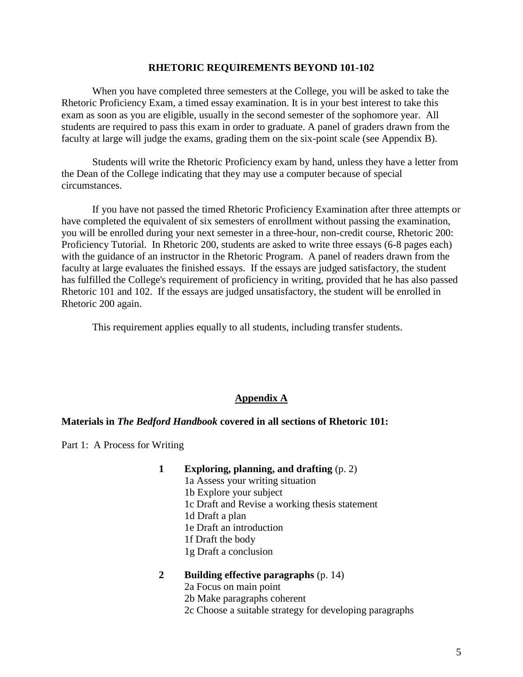#### **RHETORIC REQUIREMENTS BEYOND 101-102**

When you have completed three semesters at the College, you will be asked to take the Rhetoric Proficiency Exam, a timed essay examination. It is in your best interest to take this exam as soon as you are eligible, usually in the second semester of the sophomore year. All students are required to pass this exam in order to graduate. A panel of graders drawn from the faculty at large will judge the exams, grading them on the six-point scale (see Appendix B).

Students will write the Rhetoric Proficiency exam by hand, unless they have a letter from the Dean of the College indicating that they may use a computer because of special circumstances.

 If you have not passed the timed Rhetoric Proficiency Examination after three attempts or have completed the equivalent of six semesters of enrollment without passing the examination, you will be enrolled during your next semester in a three-hour, non-credit course, Rhetoric 200: Proficiency Tutorial. In Rhetoric 200, students are asked to write three essays (6-8 pages each) with the guidance of an instructor in the Rhetoric Program. A panel of readers drawn from the faculty at large evaluates the finished essays. If the essays are judged satisfactory, the student has fulfilled the College's requirement of proficiency in writing, provided that he has also passed Rhetoric 101 and 102. If the essays are judged unsatisfactory, the student will be enrolled in Rhetoric 200 again.

This requirement applies equally to all students, including transfer students.

## **Appendix A**

## **Materials in** *The Bedford Handbook* **covered in all sections of Rhetoric 101:**

Part 1: A Process for Writing

- **1 Exploring, planning, and drafting** (p. 2)
	- 1a Assess your writing situation

1b Explore your subject

- 1c Draft and Revise a working thesis statement
- 1d Draft a plan
- 1e Draft an introduction
- 1f Draft the body
- 1g Draft a conclusion

# **2 Building effective paragraphs** (p. 14)

- 2a Focus on main point
- 2b Make paragraphs coherent
- 2c Choose a suitable strategy for developing paragraphs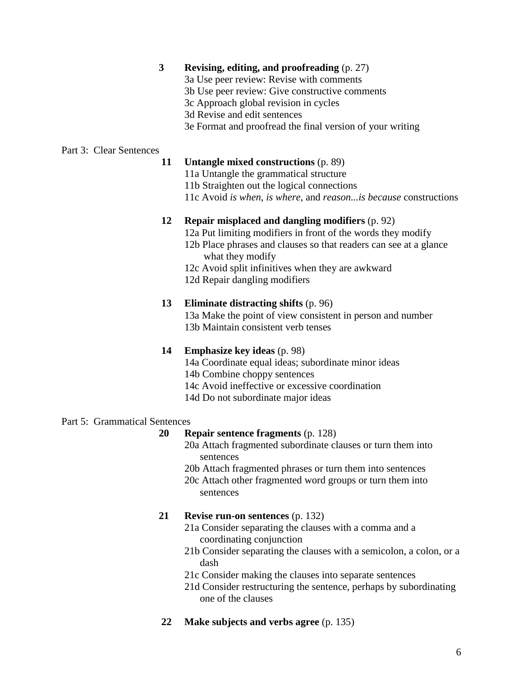# **3 Revising, editing, and proofreading** (p. 27)

- 3a Use peer review: Revise with comments
- 3b Use peer review: Give constructive comments
- 3c Approach global revision in cycles
- 3d Revise and edit sentences
- 3e Format and proofread the final version of your writing

# Part 3: Clear Sentences

- **11 Untangle mixed constructions** (p. 89)
	- 11a Untangle the grammatical structure
	- 11b Straighten out the logical connections
	- 11c Avoid *is when*, *is where*, and *reason...is because* constructions

## **12 Repair misplaced and dangling modifiers** (p. 92)

- 12a Put limiting modifiers in front of the words they modify
- 12b Place phrases and clauses so that readers can see at a glance what they modify
- 12c Avoid split infinitives when they are awkward
- 12d Repair dangling modifiers

# **13 Eliminate distracting shifts** (p. 96)

13a Make the point of view consistent in person and number 13b Maintain consistent verb tenses

# **14 Emphasize key ideas** (p. 98)

- 14a Coordinate equal ideas; subordinate minor ideas
- 14b Combine choppy sentences
- 14c Avoid ineffective or excessive coordination
- 14d Do not subordinate major ideas

# Part 5: Grammatical Sentences

## **20 Repair sentence fragments** (p. 128)

- 20a Attach fragmented subordinate clauses or turn them into sentences
- 20b Attach fragmented phrases or turn them into sentences
- 20c Attach other fragmented word groups or turn them into sentences

# **21 Revise run-on sentences** (p. 132)

- 21a Consider separating the clauses with a comma and a coordinating conjunction
- 21b Consider separating the clauses with a semicolon, a colon, or a dash
- 21c Consider making the clauses into separate sentences
- 21d Consider restructuring the sentence, perhaps by subordinating one of the clauses
- **22 Make subjects and verbs agree** (p. 135)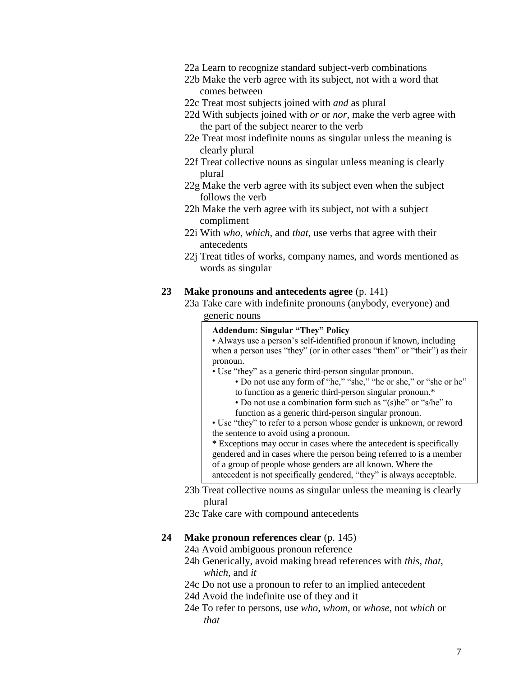- 22a Learn to recognize standard subject-verb combinations
- 22b Make the verb agree with its subject, not with a word that comes between
- 22c Treat most subjects joined with *and* as plural
- 22d With subjects joined with *or* or *nor*, make the verb agree with the part of the subject nearer to the verb
- 22e Treat most indefinite nouns as singular unless the meaning is clearly plural
- 22f Treat collective nouns as singular unless meaning is clearly plural
- 22g Make the verb agree with its subject even when the subject follows the verb
- 22h Make the verb agree with its subject, not with a subject compliment
- 22i With *who*, *which*, and *that*, use verbs that agree with their antecedents
- 22j Treat titles of works, company names, and words mentioned as words as singular

## **23 Make pronouns and antecedents agree** (p. 141)

23a Take care with indefinite pronouns (anybody, everyone) and generic nouns

## **Addendum: Singular "They" Policy**

• Always use a person's self-identified pronoun if known, including when a person uses "they" (or in other cases "them" or "their") as their pronoun.

- Use "they" as a generic third-person singular pronoun.
	- Do not use any form of "he," "she," "he or she," or "she or he" to function as a generic third-person singular pronoun.\*
	- Do not use a combination form such as "(s)he" or "s/he" to function as a generic third-person singular pronoun.

• Use "they" to refer to a person whose gender is unknown, or reword the sentence to avoid using a pronoun.

\* Exceptions may occur in cases where the antecedent is specifically gendered and in cases where the person being referred to is a member of a group of people whose genders are all known. Where the antecedent is not specifically gendered, "they" is always acceptable.

- 23b Treat collective nouns as singular unless the meaning is clearly plural
- 23c Take care with compound antecedents

## **24 Make pronoun references clear** (p. 145)

- 24a Avoid ambiguous pronoun reference
- 24b Generically, avoid making bread references with *this*, *that*, *which*, and *it*
- 24c Do not use a pronoun to refer to an implied antecedent
- 24d Avoid the indefinite use of they and it
- 24e To refer to persons, use *who*, *whom*, or *whose*, not *which* or *that*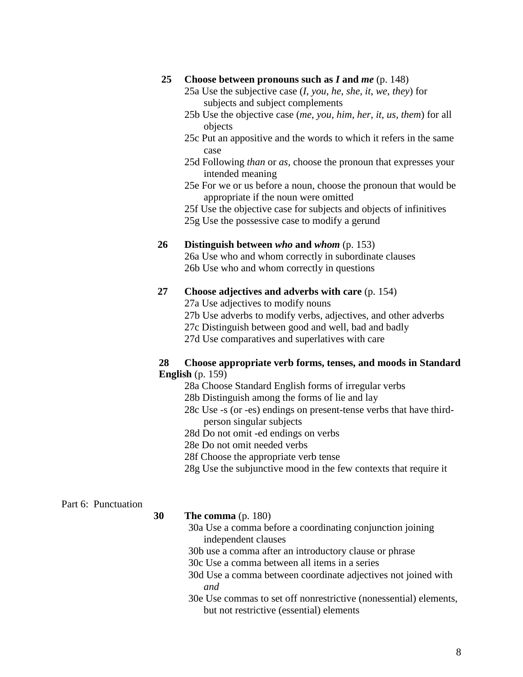## **25 Choose between pronouns such as** *I* **and** *me* (p. 148)

- 25a Use the subjective case (*I*, *you*, *he*, *she*, *it*, *we*, *they*) for subjects and subject complements
- 25b Use the objective case (*me*, *you*, *him*, *her*, *it*, *us*, *them*) for all objects
- 25c Put an appositive and the words to which it refers in the same case
- 25d Following *than* or *as*, choose the pronoun that expresses your intended meaning
- 25e For we or us before a noun, choose the pronoun that would be appropriate if the noun were omitted
- 25f Use the objective case for subjects and objects of infinitives

25g Use the possessive case to modify a gerund

## **26 Distinguish between** *who* **and** *whom* (p. 153)

26a Use who and whom correctly in subordinate clauses 26b Use who and whom correctly in questions

#### **27 Choose adjectives and adverbs with care** (p. 154)

27a Use adjectives to modify nouns

27b Use adverbs to modify verbs, adjectives, and other adverbs

27c Distinguish between good and well, bad and badly

27d Use comparatives and superlatives with care

## **28 Choose appropriate verb forms, tenses, and moods in Standard English** (p. 159)

28a Choose Standard English forms of irregular verbs

- 28b Distinguish among the forms of lie and lay
- 28c Use -s (or -es) endings on present-tense verbs that have thirdperson singular subjects
- 28d Do not omit -ed endings on verbs
- 28e Do not omit needed verbs
- 28f Choose the appropriate verb tense
- 28g Use the subjunctive mood in the few contexts that require it

## Part 6: Punctuation

**30 The comma** (p. 180)

- 30a Use a comma before a coordinating conjunction joining independent clauses
- 30b use a comma after an introductory clause or phrase
- 30c Use a comma between all items in a series
- 30d Use a comma between coordinate adjectives not joined with *and*
- 30e Use commas to set off nonrestrictive (nonessential) elements, but not restrictive (essential) elements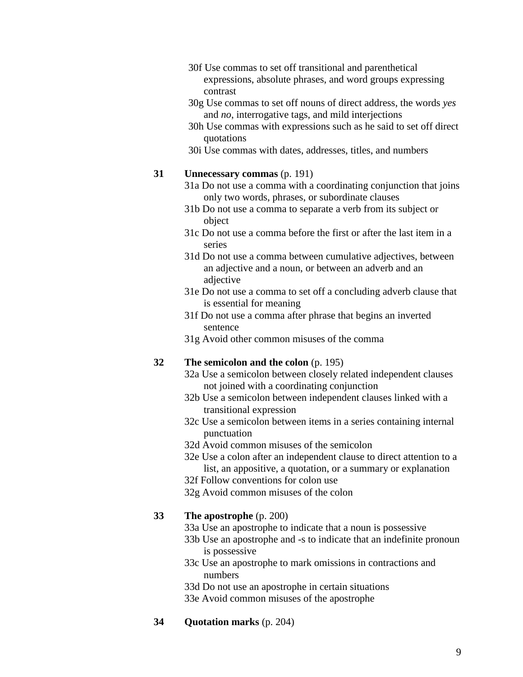- 30f Use commas to set off transitional and parenthetical expressions, absolute phrases, and word groups expressing contrast
- 30g Use commas to set off nouns of direct address, the words *yes* and *no*, interrogative tags, and mild interjections
- 30h Use commas with expressions such as he said to set off direct quotations
- 30i Use commas with dates, addresses, titles, and numbers

## **31 Unnecessary commas** (p. 191)

- 31a Do not use a comma with a coordinating conjunction that joins only two words, phrases, or subordinate clauses
- 31b Do not use a comma to separate a verb from its subject or object
- 31c Do not use a comma before the first or after the last item in a series
- 31d Do not use a comma between cumulative adjectives, between an adjective and a noun, or between an adverb and an adjective
- 31e Do not use a comma to set off a concluding adverb clause that is essential for meaning
- 31f Do not use a comma after phrase that begins an inverted sentence
- 31g Avoid other common misuses of the comma

## **32 The semicolon and the colon** (p. 195)

- 32a Use a semicolon between closely related independent clauses not joined with a coordinating conjunction
- 32b Use a semicolon between independent clauses linked with a transitional expression
- 32c Use a semicolon between items in a series containing internal punctuation
- 32d Avoid common misuses of the semicolon
- 32e Use a colon after an independent clause to direct attention to a list, an appositive, a quotation, or a summary or explanation
- 32f Follow conventions for colon use
- 32g Avoid common misuses of the colon

## **33 The apostrophe** (p. 200)

- 33a Use an apostrophe to indicate that a noun is possessive
- 33b Use an apostrophe and -s to indicate that an indefinite pronoun is possessive
- 33c Use an apostrophe to mark omissions in contractions and numbers
- 33d Do not use an apostrophe in certain situations
- 33e Avoid common misuses of the apostrophe
- **34 Quotation marks** (p. 204)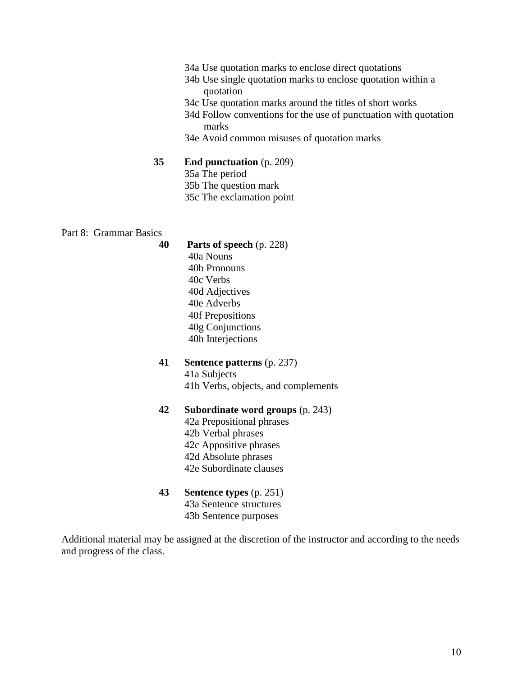- 34a Use quotation marks to enclose direct quotations
- 34b Use single quotation marks to enclose quotation within a quotation
- 34c Use quotation marks around the titles of short works
- 34d Follow conventions for the use of punctuation with quotation marks
- 34e Avoid common misuses of quotation marks

#### **35 End punctuation** (p. 209)

- 35a The period
- 35b The question mark
- 35c The exclamation point

#### Part 8: Grammar Basics

- **40 Parts of speech** (p. 228) 40a Nouns 40b Pronouns 40c Verbs 40d Adjectives 40e Adverbs 40f Prepositions 40g Conjunctions 40h Interjections
- **41 Sentence patterns** (p. 237) 41a Subjects 41b Verbs, objects, and complements
- **42 Subordinate word groups** (p. 243)
	- 42a Prepositional phrases 42b Verbal phrases 42c Appositive phrases 42d Absolute phrases 42e Subordinate clauses
- **43 Sentence types** (p. 251) 43a Sentence structures 43b Sentence purposes

Additional material may be assigned at the discretion of the instructor and according to the needs and progress of the class.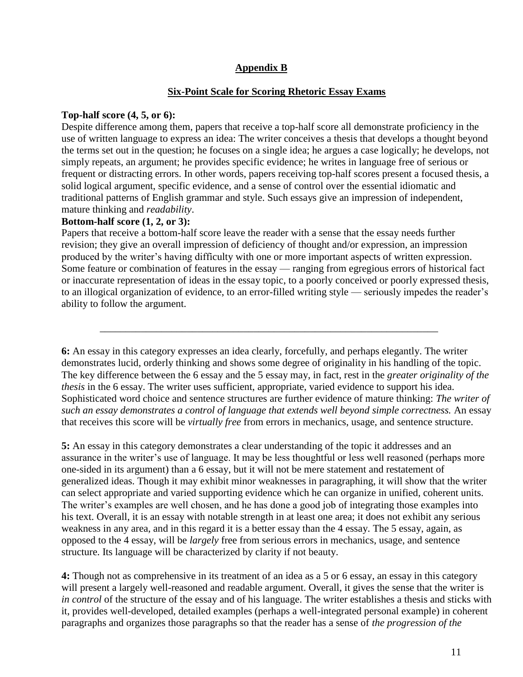# **Appendix B**

# **Six-Point Scale for Scoring Rhetoric Essay Exams**

# **Top-half score (4, 5, or 6):**

Despite difference among them, papers that receive a top-half score all demonstrate proficiency in the use of written language to express an idea: The writer conceives a thesis that develops a thought beyond the terms set out in the question; he focuses on a single idea; he argues a case logically; he develops, not simply repeats, an argument; he provides specific evidence; he writes in language free of serious or frequent or distracting errors. In other words, papers receiving top-half scores present a focused thesis, a solid logical argument, specific evidence, and a sense of control over the essential idiomatic and traditional patterns of English grammar and style. Such essays give an impression of independent, mature thinking and *readability*.

# **Bottom-half score (1, 2, or 3):**

Papers that receive a bottom-half score leave the reader with a sense that the essay needs further revision; they give an overall impression of deficiency of thought and/or expression, an impression produced by the writer's having difficulty with one or more important aspects of written expression. Some feature or combination of features in the essay — ranging from egregious errors of historical fact or inaccurate representation of ideas in the essay topic, to a poorly conceived or poorly expressed thesis, to an illogical organization of evidence, to an error-filled writing style — seriously impedes the reader's ability to follow the argument.

 $\overline{\phantom{a}}$  ,  $\overline{\phantom{a}}$  ,  $\overline{\phantom{a}}$  ,  $\overline{\phantom{a}}$  ,  $\overline{\phantom{a}}$  ,  $\overline{\phantom{a}}$  ,  $\overline{\phantom{a}}$  ,  $\overline{\phantom{a}}$  ,  $\overline{\phantom{a}}$  ,  $\overline{\phantom{a}}$  ,  $\overline{\phantom{a}}$  ,  $\overline{\phantom{a}}$  ,  $\overline{\phantom{a}}$  ,  $\overline{\phantom{a}}$  ,  $\overline{\phantom{a}}$  ,  $\overline{\phantom{a}}$ 

**6:** An essay in this category expresses an idea clearly, forcefully, and perhaps elegantly. The writer demonstrates lucid, orderly thinking and shows some degree of originality in his handling of the topic. The key difference between the 6 essay and the 5 essay may, in fact, rest in the *greater originality of the thesis* in the 6 essay. The writer uses sufficient, appropriate, varied evidence to support his idea. Sophisticated word choice and sentence structures are further evidence of mature thinking: *The writer of such an essay demonstrates a control of language that extends well beyond simple correctness.* An essay that receives this score will be *virtually free* from errors in mechanics, usage, and sentence structure.

**5:** An essay in this category demonstrates a clear understanding of the topic it addresses and an assurance in the writer's use of language. It may be less thoughtful or less well reasoned (perhaps more one-sided in its argument) than a 6 essay, but it will not be mere statement and restatement of generalized ideas. Though it may exhibit minor weaknesses in paragraphing, it will show that the writer can select appropriate and varied supporting evidence which he can organize in unified, coherent units. The writer's examples are well chosen, and he has done a good job of integrating those examples into his text. Overall, it is an essay with notable strength in at least one area; it does not exhibit any serious weakness in any area, and in this regard it is a better essay than the 4 essay. The 5 essay, again, as opposed to the 4 essay, will be *largely* free from serious errors in mechanics, usage, and sentence structure. Its language will be characterized by clarity if not beauty.

**4:** Though not as comprehensive in its treatment of an idea as a 5 or 6 essay, an essay in this category will present a largely well-reasoned and readable argument. Overall, it gives the sense that the writer is *in control* of the structure of the essay and of his language. The writer establishes a thesis and sticks with it, provides well-developed, detailed examples (perhaps a well-integrated personal example) in coherent paragraphs and organizes those paragraphs so that the reader has a sense of *the progression of the*